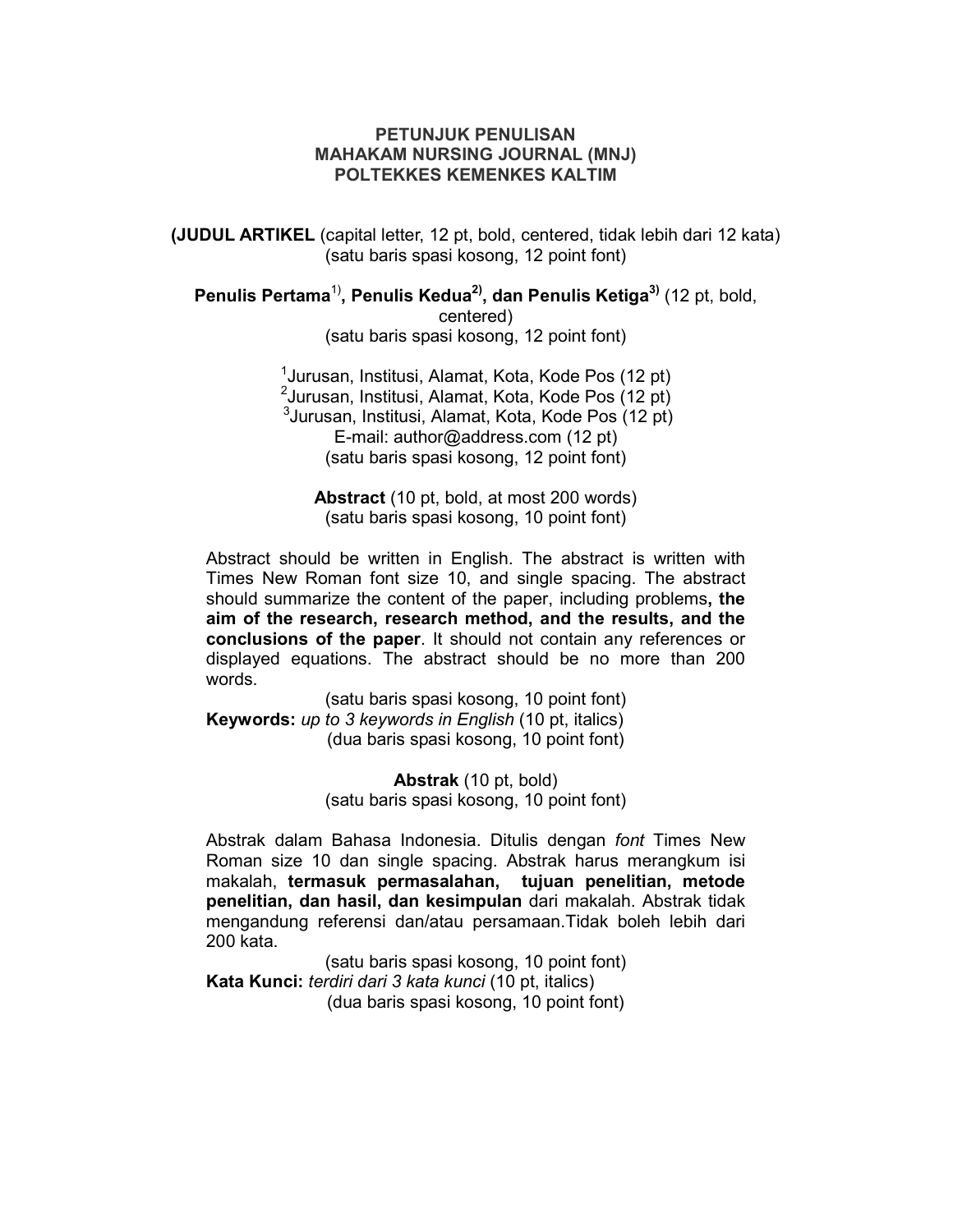# **PETUNJUK PENULISAN MAHAKAM NURSING JOURNAL (MNJ) POLTEKKES KEMENKES KALTIM**

**(JUDUL ARTIKEL** (capital letter, 12 pt, bold, centered, tidak lebih dari 12 kata) (satu baris spasi kosong, 12 point font)

**Penulis Pertama**1)**, Penulis Kedua2), dan Penulis Ketiga3)** (12 pt, bold, centered) (satu baris spasi kosong, 12 point font)

> <sup>1</sup>Jurusan, Institusi, Alamat, Kota, Kode Pos (12 pt) <sup>2</sup> Jurusan, Institusi, Alamat, Kota, Kode Pos (12 pt) <sup>3</sup>Jurusan, Institusi, Alamat, Kota, Kode Pos (12 pt) E-mail: author@address.com (12 pt) (satu baris spasi kosong, 12 point font)

**Abstract** (10 pt, bold, at most 200 words) (satu baris spasi kosong, 10 point font)

Abstract should be written in English. The abstract is written with Times New Roman font size 10, and single spacing. The abstract should summarize the content of the paper, including problems**, the aim of the research, research method, and the results, and the conclusions of the paper**. It should not contain any references or displayed equations. The abstract should be no more than 200 words.

(satu baris spasi kosong, 10 point font) **Keywords:** *up to 3 keywords in English* (10 pt, italics) (dua baris spasi kosong, 10 point font)

> **Abstrak** (10 pt, bold) (satu baris spasi kosong, 10 point font)

Abstrak dalam Bahasa Indonesia. Ditulis dengan *font* Times New Roman size 10 dan single spacing. Abstrak harus merangkum isi makalah, **termasuk permasalahan, tujuan penelitian, metode penelitian, dan hasil, dan kesimpulan** dari makalah. Abstrak tidak mengandung referensi dan/atau persamaan.Tidak boleh lebih dari 200 kata.

(satu baris spasi kosong, 10 point font) **Kata Kunci:** *terdiri dari 3 kata kunci* (10 pt, italics) (dua baris spasi kosong, 10 point font)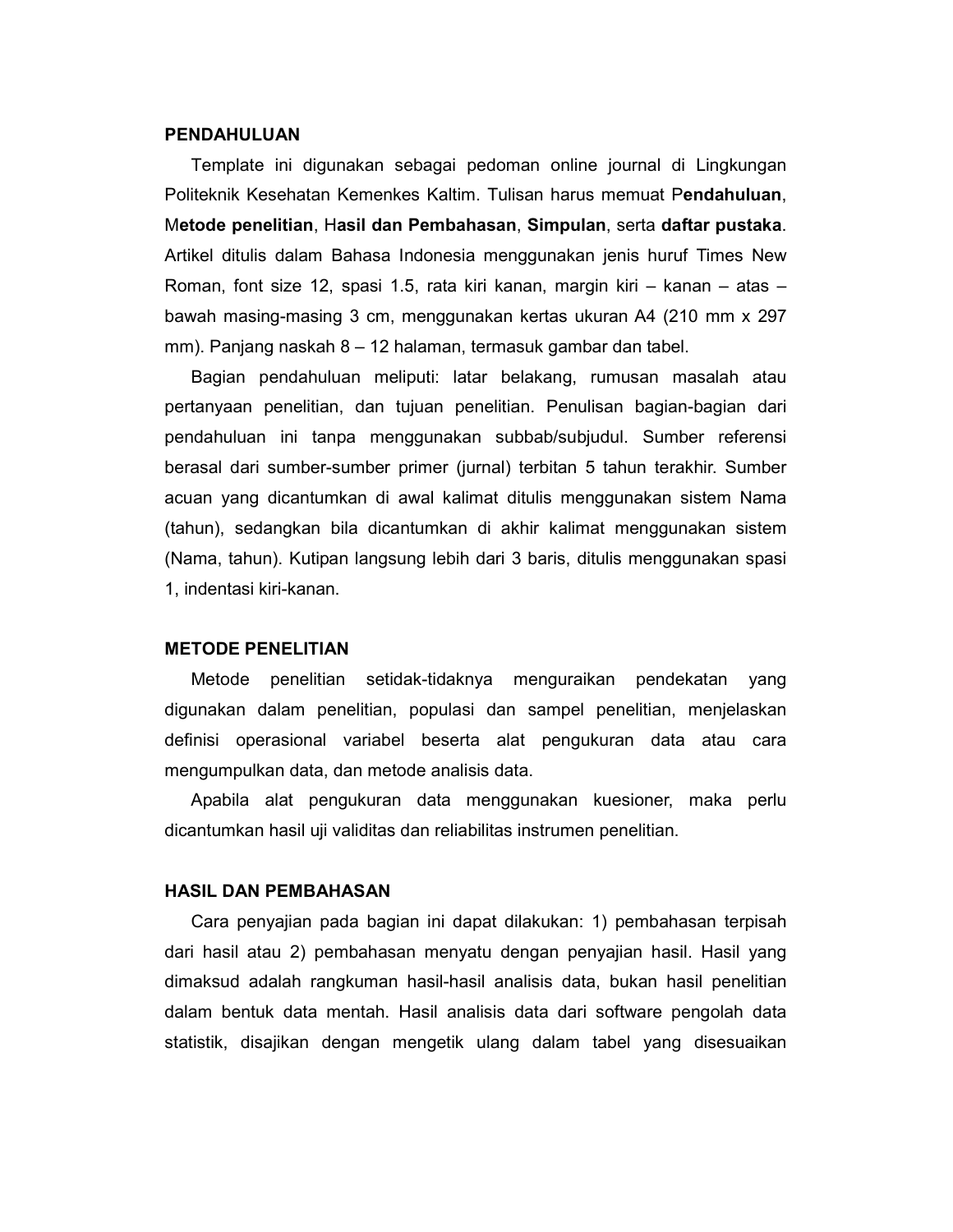#### **PENDAHULUAN**

Template ini digunakan sebagai pedoman online journal di Lingkungan Politeknik Kesehatan Kemenkes Kaltim. Tulisan harus memuat P**endahuluan**, M**etode penelitian**, H**asil dan Pembahasan**, **Simpulan**, serta **daftar pustaka**. Artikel ditulis dalam Bahasa Indonesia menggunakan jenis huruf Times New Roman, font size 12, spasi 1.5, rata kiri kanan, margin kiri – kanan – atas – bawah masing-masing 3 cm, menggunakan kertas ukuran A4 (210 mm x 297 mm). Panjang naskah 8 – 12 halaman, termasuk gambar dan tabel.

Bagian pendahuluan meliputi: latar belakang, rumusan masalah atau pertanyaan penelitian, dan tujuan penelitian. Penulisan bagian-bagian dari pendahuluan ini tanpa menggunakan subbab/subjudul. Sumber referensi berasal dari sumber-sumber primer (jurnal) terbitan 5 tahun terakhir. Sumber acuan yang dicantumkan di awal kalimat ditulis menggunakan sistem Nama (tahun), sedangkan bila dicantumkan di akhir kalimat menggunakan sistem (Nama, tahun). Kutipan langsung lebih dari 3 baris, ditulis menggunakan spasi 1, indentasi kiri-kanan.

#### **METODE PENELITIAN**

Metode penelitian setidak-tidaknya menguraikan pendekatan yang digunakan dalam penelitian, populasi dan sampel penelitian, menjelaskan definisi operasional variabel beserta alat pengukuran data atau cara mengumpulkan data, dan metode analisis data.

Apabila alat pengukuran data menggunakan kuesioner, maka perlu dicantumkan hasil uji validitas dan reliabilitas instrumen penelitian.

#### **HASIL DAN PEMBAHASAN**

Cara penyajian pada bagian ini dapat dilakukan: 1) pembahasan terpisah dari hasil atau 2) pembahasan menyatu dengan penyajian hasil. Hasil yang dimaksud adalah rangkuman hasil-hasil analisis data, bukan hasil penelitian dalam bentuk data mentah. Hasil analisis data dari software pengolah data statistik, disajikan dengan mengetik ulang dalam tabel yang disesuaikan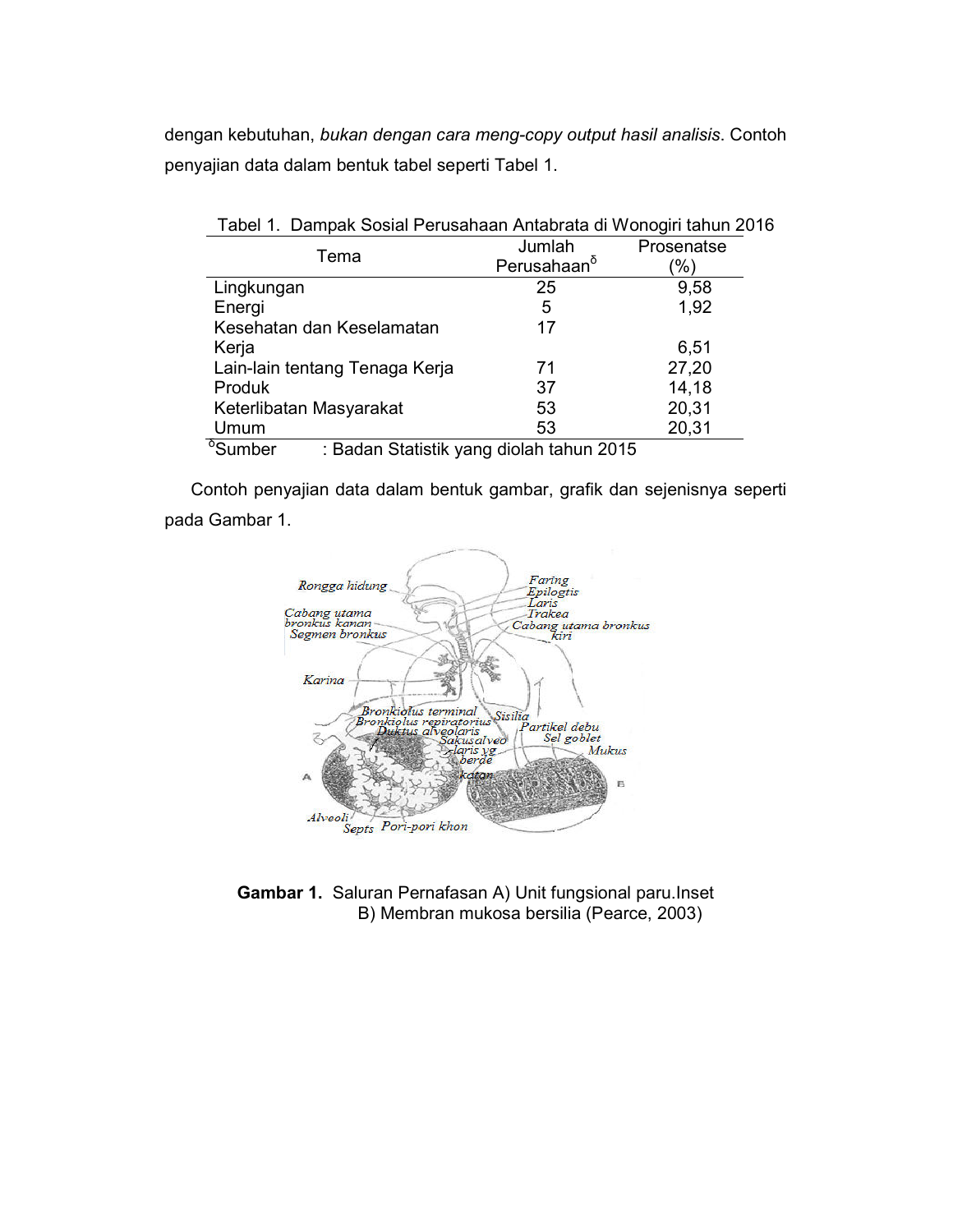dengan kebutuhan, *bukan dengan cara meng-copy output hasil analisis*. Contoh penyajian data dalam bentuk tabel seperti Tabel 1.

| Tabel 1. Dampak Sosial Perusahaan Antabrata di Wonogiri tahun 2016 |                         |            |
|--------------------------------------------------------------------|-------------------------|------------|
| Tema                                                               | Jumlah                  | Prosenatse |
|                                                                    | Perusahaan <sup>o</sup> | '%)        |
| Lingkungan                                                         | 25                      | 9,58       |
| Energi                                                             | 5                       | 1,92       |
| Kesehatan dan Keselamatan                                          | 17                      |            |
| Kerja                                                              |                         | 6,51       |
| Lain-lain tentang Tenaga Kerja                                     | 71                      | 27,20      |
| Produk                                                             | 37                      | 14,18      |
| Keterlibatan Masyarakat                                            | 53                      | 20,31      |
| Umum                                                               | 53                      | 20,31      |
| 0<br><b>Design Official Communications</b> COMP                    |                         |            |

<sup>δ</sup>Sumber : Badan Statistik yang diolah tahun 2015

Contoh penyajian data dalam bentuk gambar, grafik dan sejenisnya seperti pada Gambar 1.



**Gambar 1.** Saluran Pernafasan A) Unit fungsional paru.Inset B) Membran mukosa bersilia (Pearce, 2003)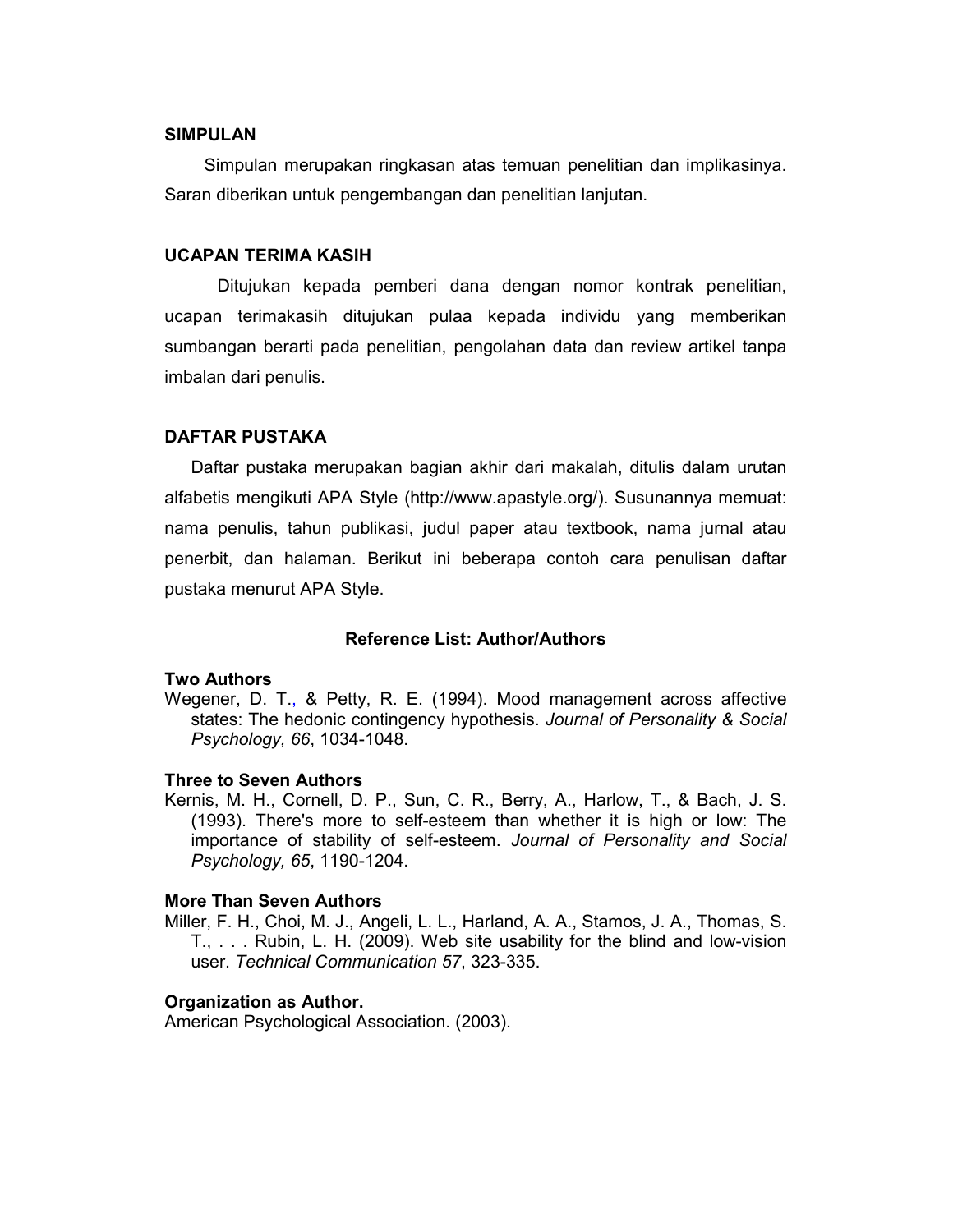#### **SIMPULAN**

Simpulan merupakan ringkasan atas temuan penelitian dan implikasinya. Saran diberikan untuk pengembangan dan penelitian lanjutan.

## **UCAPAN TERIMA KASIH**

Ditujukan kepada pemberi dana dengan nomor kontrak penelitian, ucapan terimakasih ditujukan pulaa kepada individu yang memberikan sumbangan berarti pada penelitian, pengolahan data dan review artikel tanpa imbalan dari penulis.

# **DAFTAR PUSTAKA**

Daftar pustaka merupakan bagian akhir dari makalah, ditulis dalam urutan alfabetis mengikuti APA Style (http://www.apastyle.org/). Susunannya memuat: nama penulis, tahun publikasi, judul paper atau textbook, nama jurnal atau penerbit, dan halaman. Berikut ini beberapa contoh cara penulisan daftar pustaka menurut APA Style.

### **Reference List: Author/Authors**

## **Two Authors**

Wegener, D. T., & Petty, R. E. (1994). Mood management across affective states: The hedonic contingency hypothesis. *Journal of Personality & Social Psychology, 66*, 1034-1048.

#### **Three to Seven Authors**

Kernis, M. H., Cornell, D. P., Sun, C. R., Berry, A., Harlow, T., & Bach, J. S. (1993). There's more to self-esteem than whether it is high or low: The importance of stability of self-esteem. *Journal of Personality and Social Psychology, 65*, 1190-1204.

### **More Than Seven Authors**

Miller, F. H., Choi, M. J., Angeli, L. L., Harland, A. A., Stamos, J. A., Thomas, S. T., . . . Rubin, L. H. (2009). Web site usability for the blind and low-vision user. *Technical Communication 57*, 323-335.

#### **Organization as Author.**

American Psychological Association. (2003).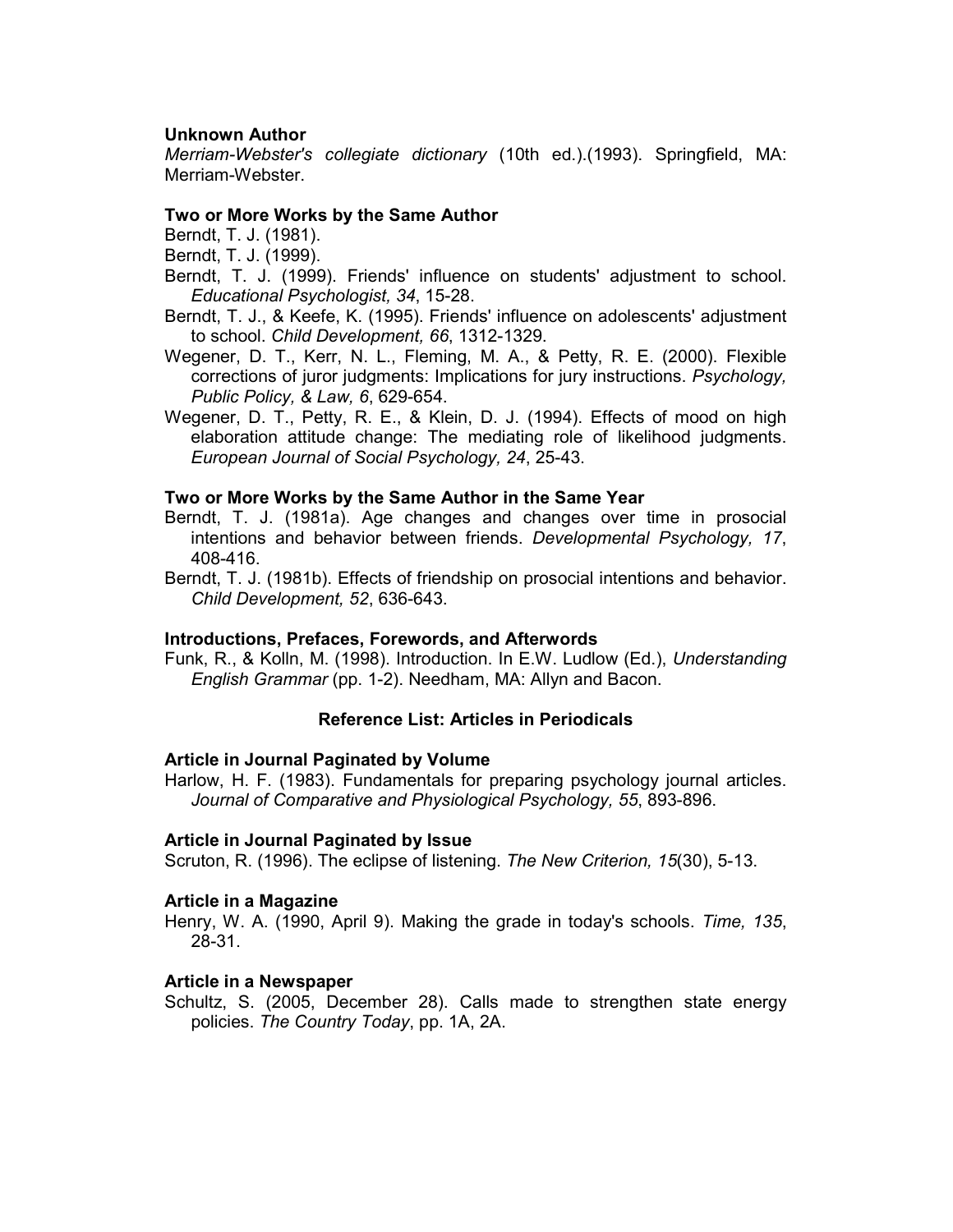# **Unknown Author**

*Merriam-Webster's collegiate dictionary* (10th ed.).(1993). Springfield, MA: Merriam-Webster.

## **Two or More Works by the Same Author**

Berndt, T. J. (1981).

- Berndt, T. J. (1999).
- Berndt, T. J. (1999). Friends' influence on students' adjustment to school. *Educational Psychologist, 34*, 15-28.
- Berndt, T. J., & Keefe, K. (1995). Friends' influence on adolescents' adjustment to school. *Child Development, 66*, 1312-1329.
- Wegener, D. T., Kerr, N. L., Fleming, M. A., & Petty, R. E. (2000). Flexible corrections of juror judgments: Implications for jury instructions. *Psychology, Public Policy, & Law, 6*, 629-654.
- Wegener, D. T., Petty, R. E., & Klein, D. J. (1994). Effects of mood on high elaboration attitude change: The mediating role of likelihood judgments. *European Journal of Social Psychology, 24*, 25-43.

### **Two or More Works by the Same Author in the Same Year**

- Berndt, T. J. (1981a). Age changes and changes over time in prosocial intentions and behavior between friends. *Developmental Psychology, 17*, 408-416.
- Berndt, T. J. (1981b). Effects of friendship on prosocial intentions and behavior. *Child Development, 52*, 636-643.

## **Introductions, Prefaces, Forewords, and Afterwords**

Funk, R., & Kolln, M. (1998). Introduction. In E.W. Ludlow (Ed.), *Understanding English Grammar* (pp. 1-2). Needham, MA: Allyn and Bacon.

## **Reference List: Articles in Periodicals**

#### **Article in Journal Paginated by Volume**

Harlow, H. F. (1983). Fundamentals for preparing psychology journal articles. *Journal of Comparative and Physiological Psychology, 55*, 893-896.

#### **Article in Journal Paginated by Issue**

Scruton, R. (1996). The eclipse of listening. *The New Criterion, 15*(30), 5-13.

#### **Article in a Magazine**

Henry, W. A. (1990, April 9). Making the grade in today's schools. *Time, 135*, 28-31.

#### **Article in a Newspaper**

Schultz, S. (2005, December 28). Calls made to strengthen state energy policies. *The Country Today*, pp. 1A, 2A.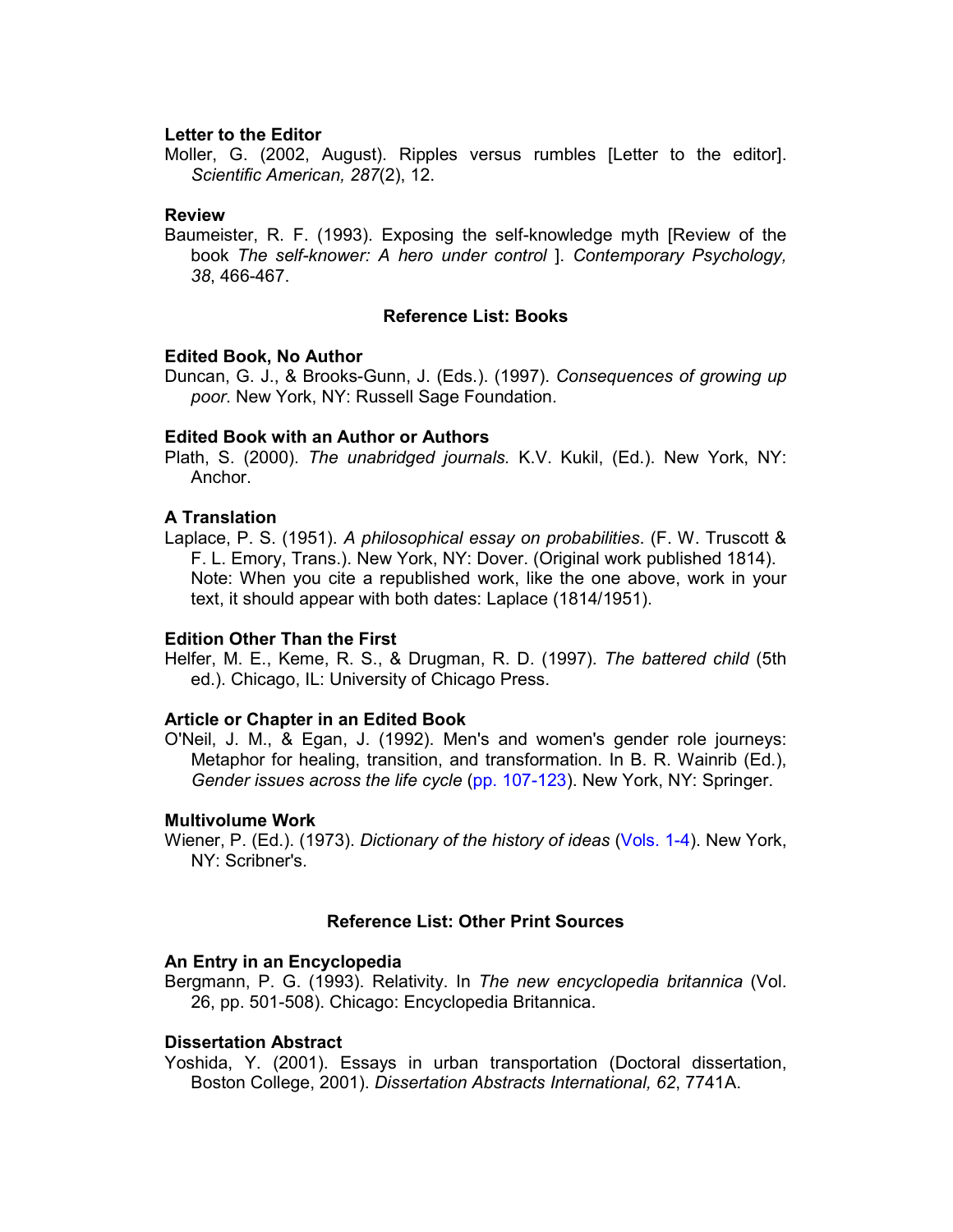### **Letter to the Editor**

Moller, G. (2002, August). Ripples versus rumbles [Letter to the editor]. *Scientific American, 287*(2), 12.

### **Review**

Baumeister, R. F. (1993). Exposing the self-knowledge myth [Review of the book *The self-knower: A hero under control* ]. *Contemporary Psychology, 38*, 466-467.

### **Reference List: Books**

### **Edited Book, No Author**

Duncan, G. J., & Brooks-Gunn, J. (Eds.). (1997). *Consequences of growing up poor*. New York, NY: Russell Sage Foundation.

### **Edited Book with an Author or Authors**

Plath, S. (2000). *The unabridged journals.* K.V. Kukil, (Ed.). New York, NY: Anchor.

### **A Translation**

Laplace, P. S. (1951). *A philosophical essay on probabilities*. (F. W. Truscott & F. L. Emory, Trans.). New York, NY: Dover. (Original work published 1814). Note: When you cite a republished work, like the one above, work in your text, it should appear with both dates: Laplace (1814/1951).

#### **Edition Other Than the First**

Helfer, M. E., Keme, R. S., & Drugman, R. D. (1997). *The battered child* (5th ed.). Chicago, IL: University of Chicago Press.

### **Article or Chapter in an Edited Book**

O'Neil, J. M., & Egan, J. (1992). Men's and women's gender role journeys: Metaphor for healing, transition, and transformation. In B. R. Wainrib (Ed.), *Gender issues across the life cycle* (pp. 107-123). New York, NY: Springer.

### **Multivolume Work**

Wiener, P. (Ed.). (1973). *Dictionary of the history of ideas* (Vols. 1-4). New York, NY: Scribner's.

#### **Reference List: Other Print Sources**

#### **An Entry in an Encyclopedia**

Bergmann, P. G. (1993). Relativity. In *The new encyclopedia britannica* (Vol. 26, pp. 501-508). Chicago: Encyclopedia Britannica.

## **Dissertation Abstract**

Yoshida, Y. (2001). Essays in urban transportation (Doctoral dissertation, Boston College, 2001). *Dissertation Abstracts International, 62*, 7741A.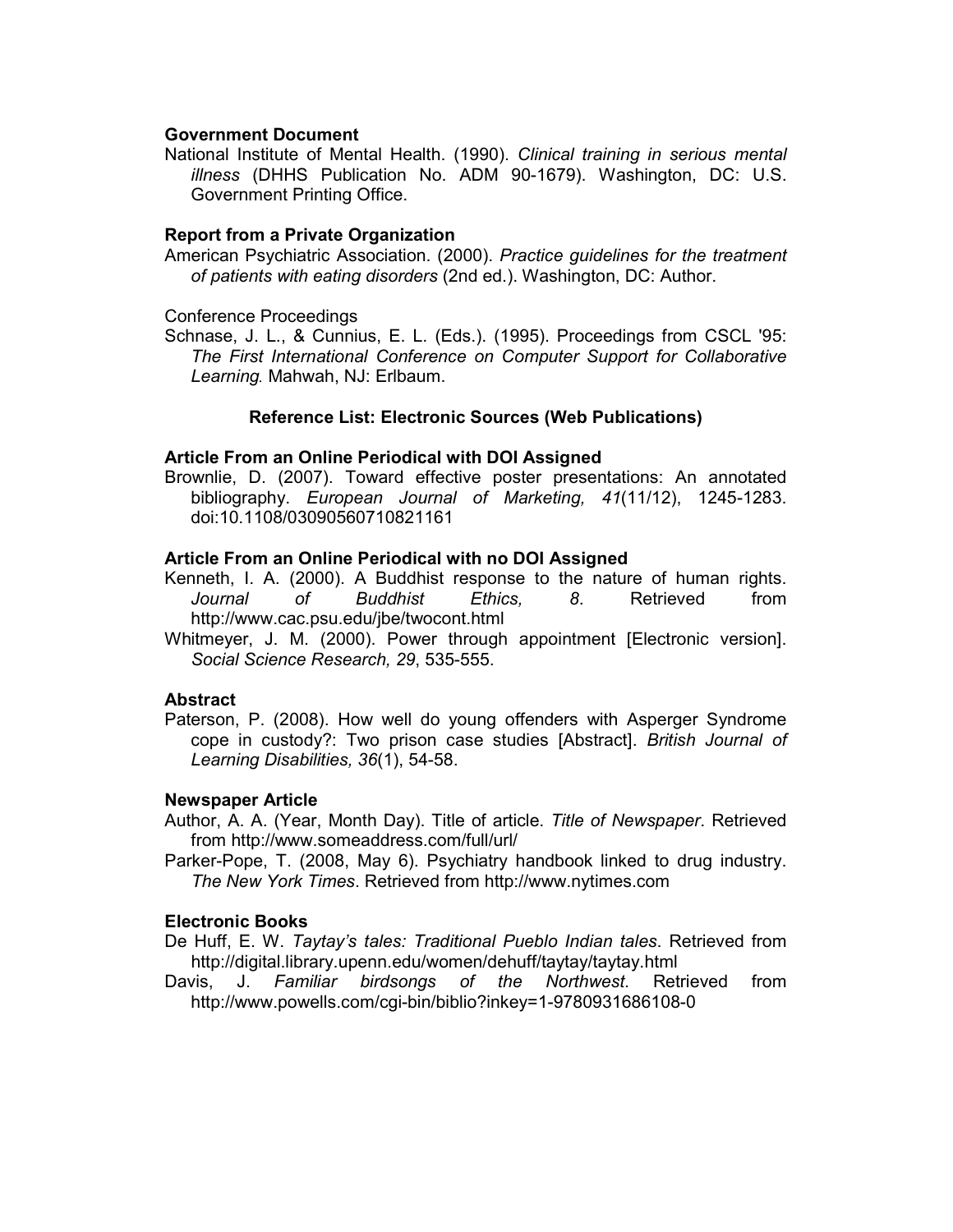## **Government Document**

National Institute of Mental Health. (1990). *Clinical training in serious mental illness* (DHHS Publication No. ADM 90-1679). Washington, DC: U.S. Government Printing Office.

# **Report from a Private Organization**

American Psychiatric Association. (2000). *Practice guidelines for the treatment of patients with eating disorders* (2nd ed.). Washington, DC: Author.

Conference Proceedings

Schnase, J. L., & Cunnius, E. L. (Eds.). (1995). Proceedings from CSCL '95: *The First International Conference on Computer Support for Collaborative Learning.* Mahwah, NJ: Erlbaum.

# **Reference List: Electronic Sources (Web Publications)**

## **Article From an Online Periodical with DOI Assigned**

Brownlie, D. (2007). Toward effective poster presentations: An annotated bibliography. *European Journal of Marketing, 41*(11/12), 1245-1283. doi:10.1108/03090560710821161

# **Article From an Online Periodical with no DOI Assigned**

- Kenneth, I. A. (2000). A Buddhist response to the nature of human rights. *Journal of Buddhist Ethics, 8*. Retrieved from http://www.cac.psu.edu/jbe/twocont.html
- Whitmeyer, J. M. (2000). Power through appointment [Electronic version]. *Social Science Research, 29*, 535-555.

## **Abstract**

Paterson, P. (2008). How well do young offenders with Asperger Syndrome cope in custody?: Two prison case studies [Abstract]. *British Journal of Learning Disabilities, 36*(1), 54-58.

## **Newspaper Article**

- Author, A. A. (Year, Month Day). Title of article. *Title of Newspaper*. Retrieved from http://www.someaddress.com/full/url/
- Parker-Pope, T. (2008, May 6). Psychiatry handbook linked to drug industry. *The New York Times*. Retrieved from http://www.nytimes.com

## **Electronic Books**

- De Huff, E. W. *Taytay's tales: Traditional Pueblo Indian tales*. Retrieved from http://digital.library.upenn.edu/women/dehuff/taytay/taytay.html
- Davis, J. *Familiar birdsongs of the Northwest*. Retrieved from http://www.powells.com/cgi-bin/biblio?inkey=1-9780931686108-0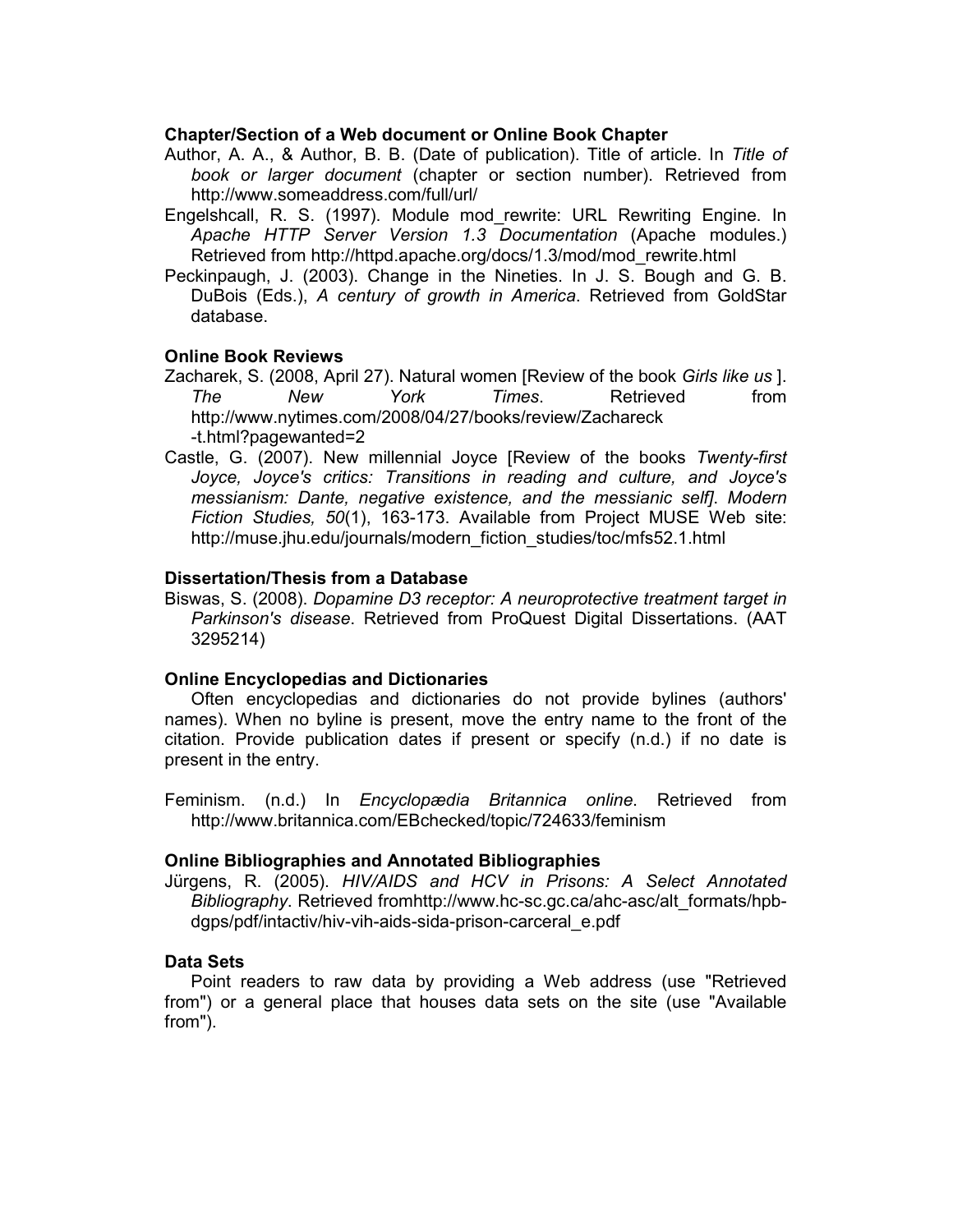## **Chapter/Section of a Web document or Online Book Chapter**

- Author, A. A., & Author, B. B. (Date of publication). Title of article. In *Title of book or larger document* (chapter or section number). Retrieved from http://www.someaddress.com/full/url/
- Engelshcall, R. S. (1997). Module mod\_rewrite: URL Rewriting Engine. In *Apache HTTP Server Version 1.3 Documentation* (Apache modules.) Retrieved from http://httpd.apache.org/docs/1.3/mod/mod\_rewrite.html
- Peckinpaugh, J. (2003). Change in the Nineties. In J. S. Bough and G. B. DuBois (Eds.), *A century of growth in America*. Retrieved from GoldStar database.

# **Online Book Reviews**

- Zacharek, S. (2008, April 27). Natural women [Review of the book *Girls like us* ]. *The New York Times*. Retrieved from http://www.nytimes.com/2008/04/27/books/review/Zachareck -t.html?pagewanted=2
- Castle, G. (2007). New millennial Joyce [Review of the books *Twenty-first Joyce, Joyce's critics: Transitions in reading and culture, and Joyce's messianism: Dante, negative existence, and the messianic self]*. *Modern Fiction Studies, 50*(1), 163-173. Available from Project MUSE Web site: http://muse.jhu.edu/journals/modern\_fiction\_studies/toc/mfs52.1.html

# **Dissertation/Thesis from a Database**

Biswas, S. (2008). *Dopamine D3 receptor: A neuroprotective treatment target in Parkinson's disease*. Retrieved from ProQuest Digital Dissertations. (AAT 3295214)

## **Online Encyclopedias and Dictionaries**

Often encyclopedias and dictionaries do not provide bylines (authors' names). When no byline is present, move the entry name to the front of the citation. Provide publication dates if present or specify (n.d.) if no date is present in the entry.

Feminism. (n.d.) In *Encyclopædia Britannica online*. Retrieved from http://www.britannica.com/EBchecked/topic/724633/feminism

## **Online Bibliographies and Annotated Bibliographies**

Jürgens, R. (2005). *HIV/AIDS and HCV in Prisons: A Select Annotated Bibliography*. Retrieved fromhttp://www.hc-sc.gc.ca/ahc-asc/alt\_formats/hpbdgps/pdf/intactiv/hiv-vih-aids-sida-prison-carceral\_e.pdf

## **Data Sets**

Point readers to raw data by providing a Web address (use "Retrieved from") or a general place that houses data sets on the site (use "Available from").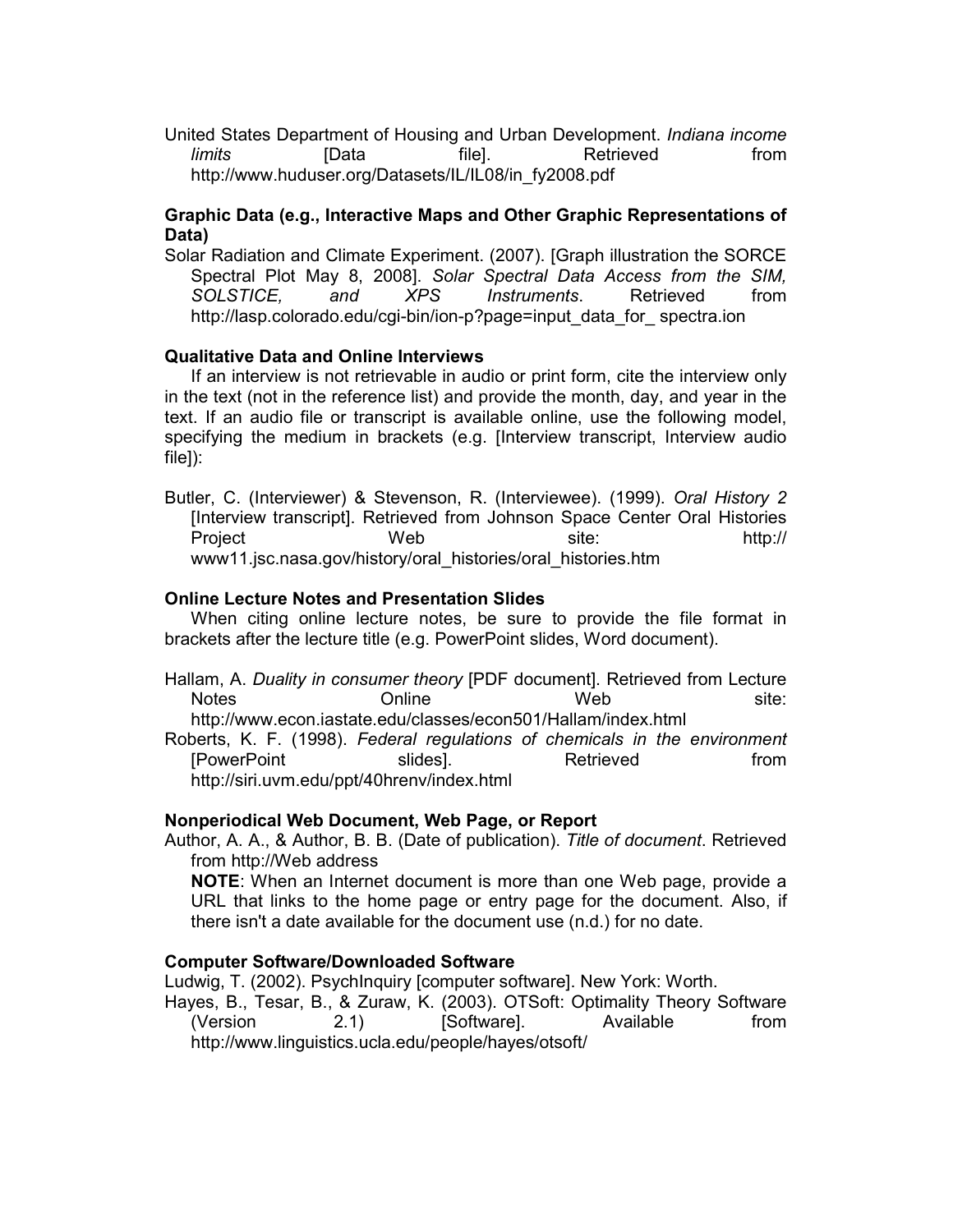United States Department of Housing and Urban Development. *Indiana income limits* [Data file]. Retrieved from http://www.huduser.org/Datasets/IL/IL08/in\_fy2008.pdf

# **Graphic Data (e.g., Interactive Maps and Other Graphic Representations of Data)**

Solar Radiation and Climate Experiment. (2007). [Graph illustration the SORCE Spectral Plot May 8, 2008]. *Solar Spectral Data Access from the SIM, SOLSTICE, and XPS Instruments*. Retrieved from http://lasp.colorado.edu/cgi-bin/ion-p?page=input\_data\_for\_ spectra.ion

# **Qualitative Data and Online Interviews**

If an interview is not retrievable in audio or print form, cite the interview only in the text (not in the reference list) and provide the month, day, and year in the text. If an audio file or transcript is available online, use the following model, specifying the medium in brackets (e.g. [Interview transcript, Interview audio file]):

Butler, C. (Interviewer) & Stevenson, R. (Interviewee). (1999). *Oral History 2* [Interview transcript]. Retrieved from Johnson Space Center Oral Histories Project Web site: http:// www11.jsc.nasa.gov/history/oral\_histories/oral\_histories.htm

# **Online Lecture Notes and Presentation Slides**

When citing online lecture notes, be sure to provide the file format in brackets after the lecture title (e.g. PowerPoint slides, Word document).

Hallam, A. *Duality in consumer theory* [PDF document]. Retrieved from Lecture Notes **Online** Web site: http://www.econ.iastate.edu/classes/econ501/Hallam/index.html

Roberts, K. F. (1998). *Federal regulations of chemicals in the environment* [PowerPoint slides]. Retrieved from http://siri.uvm.edu/ppt/40hrenv/index.html

# **Nonperiodical Web Document, Web Page, or Report**

Author, A. A., & Author, B. B. (Date of publication). *Title of document*. Retrieved from http://Web address

**NOTE**: When an Internet document is more than one Web page, provide a URL that links to the home page or entry page for the document. Also, if there isn't a date available for the document use (n.d.) for no date.

# **Computer Software/Downloaded Software**

Ludwig, T. (2002). PsychInquiry [computer software]. New York: Worth.

Hayes, B., Tesar, B., & Zuraw, K. (2003). OTSoft: Optimality Theory Software (Version 2.1) [Software]. Available from http://www.linguistics.ucla.edu/people/hayes/otsoft/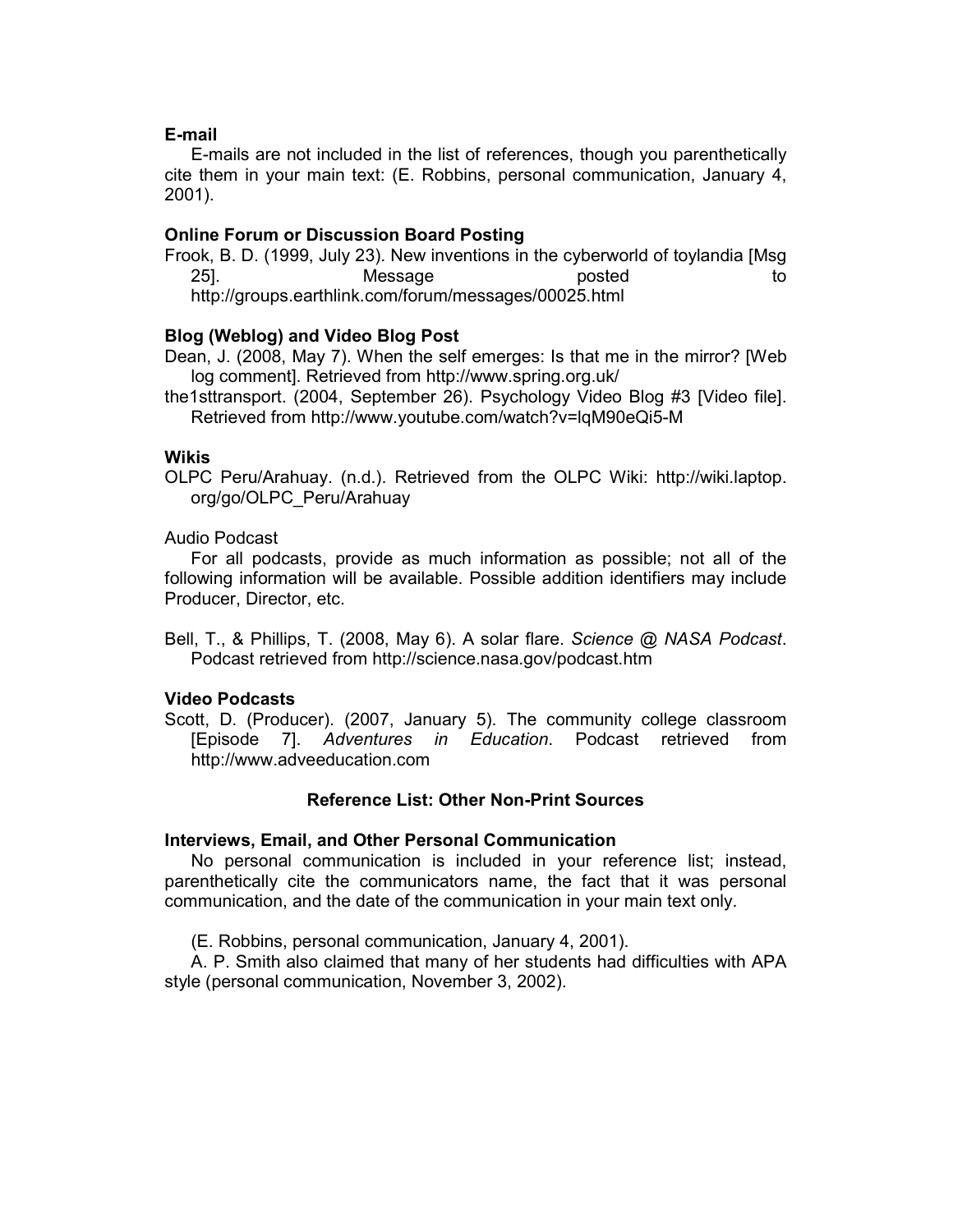## **E-mail**

E-mails are not included in the list of references, though you parenthetically cite them in your main text: (E. Robbins, personal communication, January 4, 2001).

# **Online Forum or Discussion Board Posting**

Frook, B. D. (1999, July 23). New inventions in the cyberworld of toylandia [Msg 25]. Message posted to http://groups.earthlink.com/forum/messages/00025.html

# **Blog (Weblog) and Video Blog Post**

Dean, J. (2008, May 7). When the self emerges: Is that me in the mirror? [Web log comment]. Retrieved from http://www.spring.org.uk/

the1sttransport. (2004, September 26). Psychology Video Blog #3 [Video file]. Retrieved from http://www.youtube.com/watch?v=lqM90eQi5-M

# **Wikis**

OLPC Peru/Arahuay. (n.d.). Retrieved from the OLPC Wiki: http://wiki.laptop. org/go/OLPC\_Peru/Arahuay

Audio Podcast

For all podcasts, provide as much information as possible; not all of the following information will be available. Possible addition identifiers may include Producer, Director, etc.

Bell, T., & Phillips, T. (2008, May 6). A solar flare. *Science @ NASA Podcast*. Podcast retrieved from http://science.nasa.gov/podcast.htm

# **Video Podcasts**

Scott, D. (Producer). (2007, January 5). The community college classroom [Episode 7]. *Adventures in Education*. Podcast retrieved from http://www.adveeducation.com

## **Reference List: Other Non-Print Sources**

## **Interviews, Email, and Other Personal Communication**

No personal communication is included in your reference list; instead, parenthetically cite the communicators name, the fact that it was personal communication, and the date of the communication in your main text only.

(E. Robbins, personal communication, January 4, 2001).

A. P. Smith also claimed that many of her students had difficulties with APA style (personal communication, November 3, 2002).